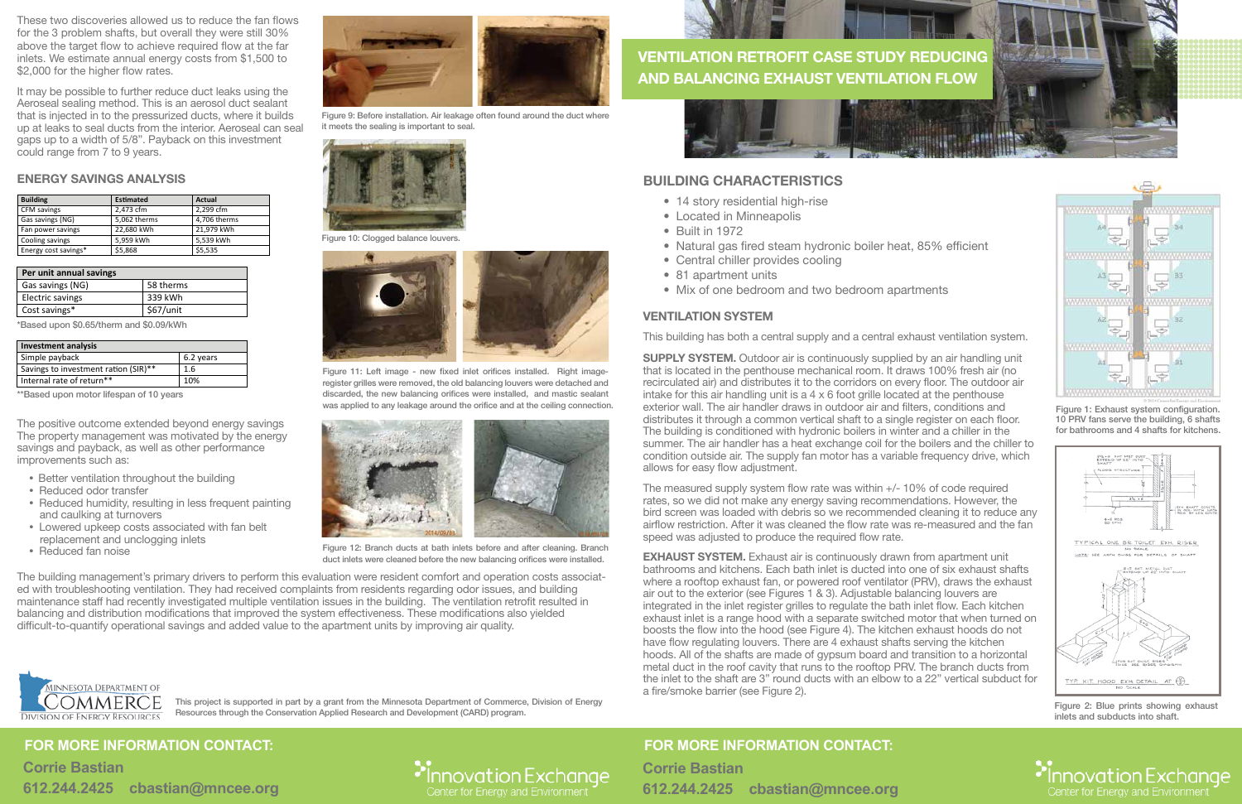## **BUILDING CHARACTERISTICS**

- 14 story residential high-rise
- Located in Minneapolis
- Built in 1972
- Natural gas fired steam hydronic boiler heat, 85% efficient
- Central chiller provides cooling
- 81 apartment units
- Mix of one bedroom and two bedroom apartments





# **FOR MORE INFORMATION CONTACT:**

**Corrie Bastian 612.244.2425 cbastian@mncee.org**



Figure 1: Exhaust system configuration. 10 PRV fans serve the building, 6 shafts for bathrooms and 4 shafts for kitchens.



Figure 2: Blue prints showing exhaust inlets and subducts into shaft.

• Innovation Exchange

### **VENTILATION SYSTEM**

This building has both a central supply and a central exhaust ventilation system.

**SUPPLY SYSTEM.** Outdoor air is continuously supplied by an air handling unit that is located in the penthouse mechanical room. It draws 100% fresh air (no recirculated air) and distributes it to the corridors on every floor. The outdoor air intake for this air handling unit is a 4 x 6 foot grille located at the penthouse exterior wall. The air handler draws in outdoor air and filters, conditions and distributes it through a common vertical shaft to a single register on each floor. The building is conditioned with hydronic boilers in winter and a chiller in the summer. The air handler has a heat exchange coil for the boilers and the chiller to condition outside air. The supply fan motor has a variable frequency drive, which allows for easy flow adjustment.

**EXHAUST SYSTEM.** Exhaust air is continuously drawn from apartment unit bathrooms and kitchens. Each bath inlet is ducted into one of six exhaust shafts where a rooftop exhaust fan, or powered roof ventilator (PRV), draws the exhaust air out to the exterior (see Figures 1 & 3). Adjustable balancing louvers are integrated in the inlet register grilles to regulate the bath inlet flow. Each kitchen exhaust inlet is a range hood with a separate switched motor that when turned on boosts the flow into the hood (see Figure 4). The kitchen exhaust hoods do not have flow regulating louvers. There are 4 exhaust shafts serving the kitchen hoods. All of the shafts are made of gypsum board and transition to a horizontal metal duct in the roof cavity that runs to the rooftop PRV. The branch ducts from the inlet to the shaft are 3" round ducts with an elbow to a 22" vertical subduct for a fire/smoke barrier (see Figure 2).

These two discoveries allowed us to reduce the fan flows for the 3 problem shafts, but overall they were still 30% above the target flow to achieve required flow at the far inlets. We estimate annual energy costs from \$1,500 to \$2,000 for the higher flow rates.

> The measured supply system flow rate was within +/- 10% of code required rates, so we did not make any energy saving recommendations. However, the bird screen was loaded with debris so we recommended cleaning it to reduce any airflow restriction. After it was cleaned the flow rate was re-measured and the fan speed was adjusted to produce the required flow rate.

# **FOR MORE INFORMATION CONTACT:**

**Corrie Bastian 612.244.2425 cbastian@mncee.org**



It may be possible to further reduce duct leaks using the Aeroseal sealing method. This is an aerosol duct sealant that is injected in to the pressurized ducts, where it builds up at leaks to seal ducts from the interior. Aeroseal can seal gaps up to a width of 5/8". Payback on this investment could range from 7 to 9 years.

#### **ENERGY SAVINGS ANALYSIS**

\*Based upon \$0.65/therm and \$0.09/kWh

\*\*Based upon motor lifespan of 10 years



Figure 9: Before installation. Air leakage often found around the duct where it meets the sealing is important to seal.

Figure 11: Left image - new fixed inlet orifices installed. Right imageregister grilles were removed, the old balancing louvers were detached and discarded, the new balancing orifices were installed, and mastic sealant was applied to any leakage around the orifice and at the ceiling connection.



Figure 12: Branch ducts at bath inlets before and after cleaning. Branch duct inlets were cleaned before the new balancing orifices were installed.

The positive outcome extended beyond energy savings The property management was motivated by the energy savings and payback, as well as other performance improvements such as:

- Better ventilation throughout the building
- Reduced odor transfer
- Reduced humidity, resulting in less frequent painting and caulking at turnovers
- Lowered upkeep costs associated with fan belt replacement and unclogging inlets
- Reduced fan noise

The building management's primary drivers to perform this evaluation were resident comfort and operation costs associated with troubleshooting ventilation. They had received complaints from residents regarding odor issues, and building maintenance staff had recently investigated multiple ventilation issues in the building. The ventilation retrofit resulted in balancing and distribution modifications that improved the system effectiveness. These modifications also yielded difficult-to-quantify operational savings and added value to the apartment units by improving air quality.



This project is supported in part by a grant from the Minnesota Department of Commerce, Division of Energy Resources through the Conservation Applied Research and Development (CARD) program.



Figure 10: Clogged balance louvers.



| <b>Building</b>      | <b>Estimated</b> | Actual       |
|----------------------|------------------|--------------|
| CFM savings          | 2,473 cfm        | 2,299 cfm    |
| Gas savings (NG)     | 5,062 therms     | 4,706 therms |
| Fan power savings    | 22.680 kWh       | 21.979 kWh   |
| Cooling savings      | 5.959 kWh        | 5.539 kWh    |
| Energy cost savings* | \$5,868          | \$5,535      |

| Per unit annual savings |           |  |  |
|-------------------------|-----------|--|--|
| Gas savings (NG)        | 58 therms |  |  |
| Electric savings        | 339 kWh   |  |  |
| Cost savings*           | \$67/unit |  |  |

| <b>Investment analysis</b>           |           |  |
|--------------------------------------|-----------|--|
| Simple payback                       | 6.2 years |  |
| Savings to investment ration (SIR)** | 1.6       |  |
| Internal rate of return**            | 10%       |  |